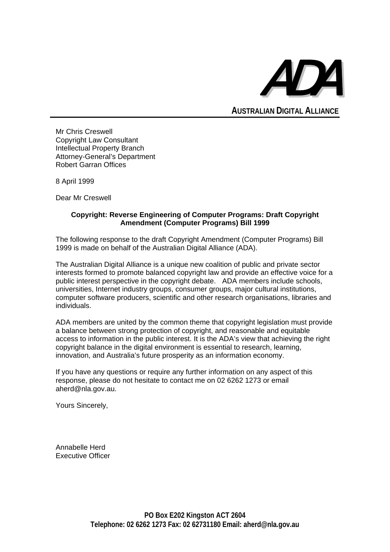

**AUSTRALIAN DIGITAL ALLIANCE**

Mr Chris Creswell Copyright Law Consultant Intellectual Property Branch Attorney-General's Department Robert Garran Offices

8 April 1999

Dear Mr Creswell

#### **Copyright: Reverse Engineering of Computer Programs: Draft Copyright Amendment (Computer Programs) Bill 1999**

The following response to the draft Copyright Amendment (Computer Programs) Bill 1999 is made on behalf of the Australian Digital Alliance (ADA).

The Australian Digital Alliance is a unique new coalition of public and private sector interests formed to promote balanced copyright law and provide an effective voice for a public interest perspective in the copyright debate. ADA members include schools, universities, Internet industry groups, consumer groups, major cultural institutions, computer software producers, scientific and other research organisations, libraries and individuals.

ADA members are united by the common theme that copyright legislation must provide a balance between strong protection of copyright, and reasonable and equitable access to information in the public interest. It is the ADA's view that achieving the right copyright balance in the digital environment is essential to research, learning, innovation, and Australia's future prosperity as an information economy.

If you have any questions or require any further information on any aspect of this response, please do not hesitate to contact me on 02 6262 1273 or email aherd@nla.gov.au.

Yours Sincerely,

Annabelle Herd Executive Officer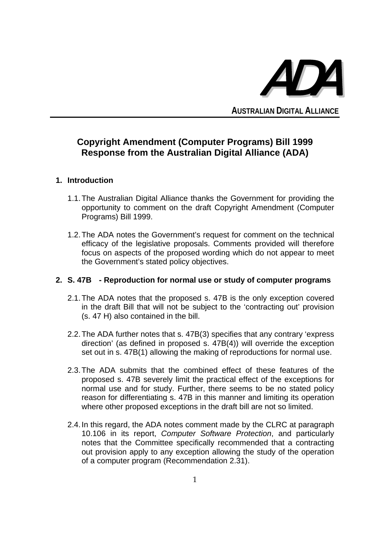

**AUSTRALIAN DIGITAL ALLIANCE**

# **Copyright Amendment (Computer Programs) Bill 1999 Response from the Australian Digital Alliance (ADA)**

# **1. Introduction**

- 1.1. The Australian Digital Alliance thanks the Government for providing the opportunity to comment on the draft Copyright Amendment (Computer Programs) Bill 1999.
- 1.2. The ADA notes the Government's request for comment on the technical efficacy of the legislative proposals. Comments provided will therefore focus on aspects of the proposed wording which do not appear to meet the Government's stated policy objectives.

## **2. S. 47B - Reproduction for normal use or study of computer programs**

- 2.1. The ADA notes that the proposed s. 47B is the only exception covered in the draft Bill that will not be subject to the 'contracting out' provision (s. 47 H) also contained in the bill.
- 2.2. The ADA further notes that s. 47B(3) specifies that any contrary 'express direction' (as defined in proposed s. 47B(4)) will override the exception set out in s. 47B(1) allowing the making of reproductions for normal use.
- 2.3. The ADA submits that the combined effect of these features of the proposed s. 47B severely limit the practical effect of the exceptions for normal use and for study. Further, there seems to be no stated policy reason for differentiating s. 47B in this manner and limiting its operation where other proposed exceptions in the draft bill are not so limited.
- 2.4. In this regard, the ADA notes comment made by the CLRC at paragraph 10.106 in its report, *Computer Software Protection*, and particularly notes that the Committee specifically recommended that a contracting out provision apply to any exception allowing the study of the operation of a computer program (Recommendation 2.31).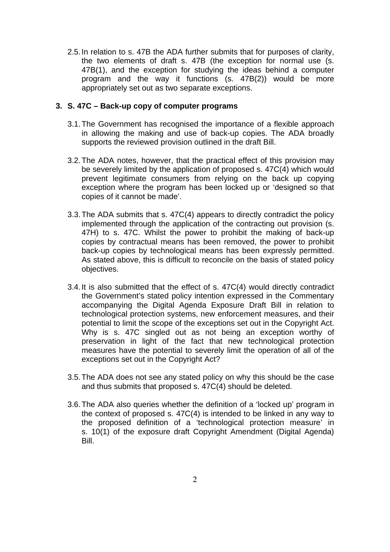2.5. In relation to s. 47B the ADA further submits that for purposes of clarity, the two elements of draft s. 47B (the exception for normal use (s. 47B(1), and the exception for studying the ideas behind a computer program and the way it functions (s. 47B(2)) would be more appropriately set out as two separate exceptions.

# **3. S. 47C – Back-up copy of computer programs**

- 3.1. The Government has recognised the importance of a flexible approach in allowing the making and use of back-up copies. The ADA broadly supports the reviewed provision outlined in the draft Bill.
- 3.2. The ADA notes, however, that the practical effect of this provision may be severely limited by the application of proposed s. 47C(4) which would prevent legitimate consumers from relying on the back up copying exception where the program has been locked up or 'designed so that copies of it cannot be made'.
- 3.3. The ADA submits that s. 47C(4) appears to directly contradict the policy implemented through the application of the contracting out provision (s. 47H) to s. 47C. Whilst the power to prohibit the making of back-up copies by contractual means has been removed, the power to prohibit back-up copies by technological means has been expressly permitted. As stated above, this is difficult to reconcile on the basis of stated policy objectives.
- 3.4. It is also submitted that the effect of s. 47C(4) would directly contradict the Government's stated policy intention expressed in the Commentary accompanying the Digital Agenda Exposure Draft Bill in relation to technological protection systems, new enforcement measures, and their potential to limit the scope of the exceptions set out in the Copyright Act. Why is s. 47C singled out as not being an exception worthy of preservation in light of the fact that new technological protection measures have the potential to severely limit the operation of all of the exceptions set out in the Copyright Act?
- 3.5. The ADA does not see any stated policy on why this should be the case and thus submits that proposed s. 47C(4) should be deleted.
- 3.6. The ADA also queries whether the definition of a 'locked up' program in the context of proposed s. 47C(4) is intended to be linked in any way to the proposed definition of a 'technological protection measure' in s. 10(1) of the exposure draft Copyright Amendment (Digital Agenda) Bill.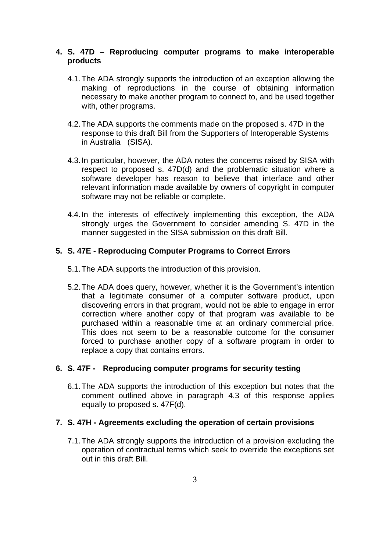## **4. S. 47D – Reproducing computer programs to make interoperable products**

- 4.1. The ADA strongly supports the introduction of an exception allowing the making of reproductions in the course of obtaining information necessary to make another program to connect to, and be used together with, other programs.
- 4.2. The ADA supports the comments made on the proposed s. 47D in the response to this draft Bill from the Supporters of Interoperable Systems in Australia (SISA).
- 4.3. In particular, however, the ADA notes the concerns raised by SISA with respect to proposed s. 47D(d) and the problematic situation where a software developer has reason to believe that interface and other relevant information made available by owners of copyright in computer software may not be reliable or complete.
- 4.4. In the interests of effectively implementing this exception, the ADA strongly urges the Government to consider amending S. 47D in the manner suggested in the SISA submission on this draft Bill.

## **5. S. 47E - Reproducing Computer Programs to Correct Errors**

- 5.1. The ADA supports the introduction of this provision.
- 5.2. The ADA does query, however, whether it is the Government's intention that a legitimate consumer of a computer software product, upon discovering errors in that program, would not be able to engage in error correction where another copy of that program was available to be purchased within a reasonable time at an ordinary commercial price. This does not seem to be a reasonable outcome for the consumer forced to purchase another copy of a software program in order to replace a copy that contains errors.

#### **6. S. 47F - Reproducing computer programs for security testing**

6.1. The ADA supports the introduction of this exception but notes that the comment outlined above in paragraph 4.3 of this response applies equally to proposed s. 47F(d).

## **7. S. 47H - Agreements excluding the operation of certain provisions**

7.1. The ADA strongly supports the introduction of a provision excluding the operation of contractual terms which seek to override the exceptions set out in this draft Bill.